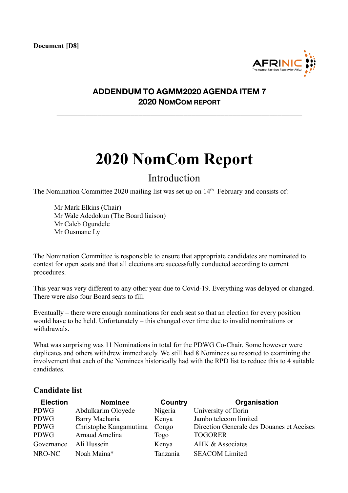**Document [D8]**



## **ADDENDUM TO AGMM2020 AGENDA ITEM 7 2020 NOMCOM REPORT**

**\_\_\_\_\_\_\_\_\_\_\_\_\_\_\_\_\_\_\_\_\_\_\_\_\_\_\_\_\_\_\_\_\_\_\_\_\_\_\_\_\_\_\_\_\_\_\_\_\_\_\_\_\_\_\_\_\_\_\_\_**

## **2020 NomCom Report**

## Introduction

The Nomination Committee 2020 mailing list was set up on 14<sup>th</sup> February and consists of:

Mr Mark Elkins (Chair) Mr Wale Adedokun (The Board liaison) Mr Caleb Ogundele Mr Ousmane Ly

The Nomination Committee is responsible to ensure that appropriate candidates are nominated to contest for open seats and that all elections are successfully conducted according to current procedures.

This year was very different to any other year due to Covid-19. Everything was delayed or changed. There were also four Board seats to fill.

Eventually – there were enough nominations for each seat so that an election for every position would have to be held. Unfortunately – this changed over time due to invalid nominations or withdrawals.

What was surprising was 11 Nominations in total for the PDWG Co-Chair. Some however were duplicates and others withdrew immediately. We still had 8 Nominees so resorted to examining the involvement that each of the Nominees historically had with the RPD list to reduce this to 4 suitable candidates.

## **Candidate list**

| <b>Election</b> | <b>Nominee</b>         | Country  | Organisation                              |
|-----------------|------------------------|----------|-------------------------------------------|
| PDWG            | Abdulkarim Oloyede     | Nigeria  | University of Ilorin                      |
| PDWG            | Barry Macharia         | Kenya    | Jambo telecom limited                     |
| PDWG            | Christophe Kangamutima | Congo    | Direction Generale des Douanes et Accises |
| PDWG            | Arnaud Amelina         | Togo     | <b>TOGORER</b>                            |
| Governance      | Ali Hussein            | Kenya    | AHK & Associates                          |
| NRO-NC          | Noah Maina*            | Tanzania | <b>SEACOM Limited</b>                     |